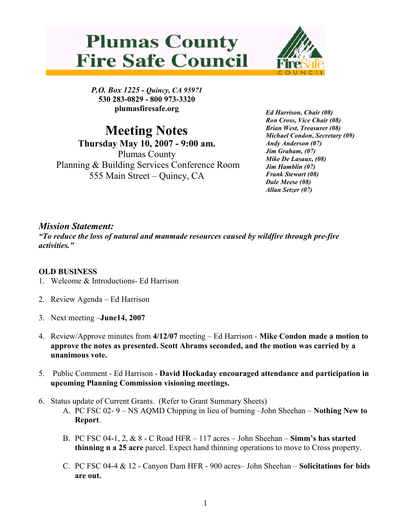



P.O. Box 1225 - Quincy, CA 95971 530 283-0829 - 800 973-3320 plumasfiresafe.org

Meeting Notes Thursday May 10, 2007 - 9:00 am. Plumas County Planning & Building Services Conference Room 555 Main Street – Quincy, CA

Ed Harrison, Chair (08) Ron Cross, Vice Chair (08) Brian West, Treasurer (08) Michael Condon, Secretary (09) Andy Anderson (07) Jim Graham, (07) Mike De Lasaux, (08) Jim Hamblin (07) Frank Stewart (08) Dale Meese (08) Allan Setzer (07)

## Mission Statement:

"To reduce the loss of natural and manmade resources caused by wildfire through pre-fire activities."

## OLD BUSINESS

- 1. Welcome & Introductions- Ed Harrison
- 2. Review Agenda Ed Harrison
- 3. Next meeting –June14, 2007
- 4. Review/Approve minutes from 4/12/07 meeting Ed Harrison Mike Condon made a motion to approve the notes as presented. Scott Abrams seconded, and the motion was carried by a unanimous vote.
- 5. Public Comment Ed Harrison David Hockaday encouraged attendance and participation in upcoming Planning Commission visioning meetings.
- 6. Status update of Current Grants. (Refer to Grant Summary Sheets)
	- A. PC FSC 02- 9 NS AQMD Chipping in lieu of burning –John Sheehan Nothing New to Report.
	- B. PC FSC 04-1, 2,  $\&$  8 C Road HFR 117 acres John Sheehan Simm's has started thinning n a 25 acre parcel. Expect hand thinning operations to move to Cross property.
	- C. PC FSC 04-4 & 12 Canyon Dam HFR 900 acres– John Sheehan Solicitations for bids are out.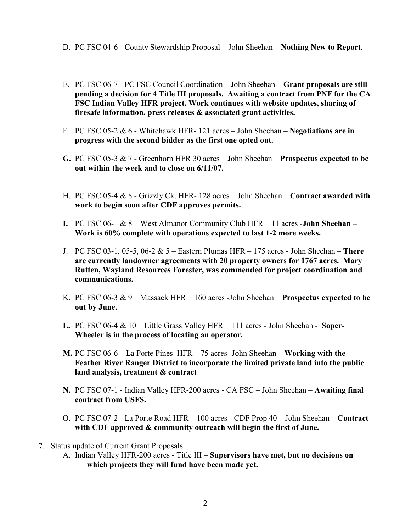- D. PC FSC 04-6 County Stewardship Proposal John Sheehan Nothing New to Report.
- E. PC FSC 06-7 PC FSC Council Coordination John Sheehan Grant proposals are still pending a decision for 4 Title III proposals. Awaiting a contract from PNF for the CA FSC Indian Valley HFR project. Work continues with website updates, sharing of firesafe information, press releases & associated grant activities.
- F. PC FSC 05-2  $\&$  6 Whitehawk HFR-121 acres John Sheehan Negotiations are in progress with the second bidder as the first one opted out.
- G. PC FSC 05-3 & 7 Greenhorn HFR 30 acres John Sheehan Prospectus expected to be out within the week and to close on 6/11/07.
- H. PC FSC 05-4 & 8 Grizzly Ck. HFR- 128 acres John Sheehan Contract awarded with work to begin soon after CDF approves permits.
- I. PC FSC 06-1  $\&8 -$  West Almanor Community Club HFR 11 acres -**John Sheehan** Work is 60% complete with operations expected to last 1-2 more weeks.
- J. PC FSC 03-1, 05-5, 06-2  $& 5$  Eastern Plumas HFR 175 acres John Sheehan There are currently landowner agreements with 20 property owners for 1767 acres. Mary Rutten, Wayland Resources Forester, was commended for project coordination and communications.
- K. PC FSC 06-3  $\&$  9 Massack HFR 160 acres -John Sheehan Prospectus expected to be out by June.
- L. PC FSC 06-4  $& 10 -$  Little Grass Valley HFR  $-111$  acres John Sheehan Soper-Wheeler is in the process of locating an operator.
- M. PC FSC 06-6 La Porte Pines HFR 75 acres -John Sheehan Working with the Feather River Ranger District to incorporate the limited private land into the public land analysis, treatment & contract
- N. PC FSC 07-1 Indian Valley HFR-200 acres CA FSC John Sheehan Awaiting final contract from USFS.
- O. PC FSC 07-2 La Porte Road HFR 100 acres CDF Prop 40 John Sheehan Contract with CDF approved & community outreach will begin the first of June.
- 7. Status update of Current Grant Proposals.
	- A. Indian Valley HFR-200 acres Title III Supervisors have met, but no decisions on which projects they will fund have been made yet.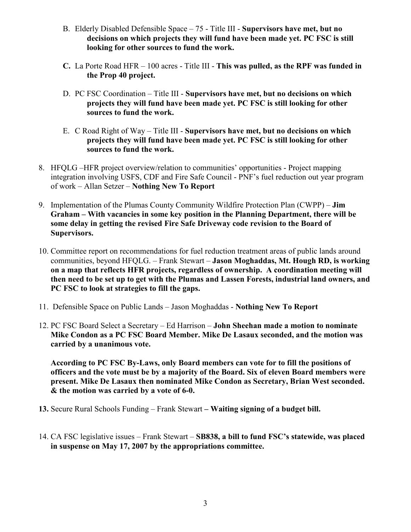- B. Elderly Disabled Defensible Space 75 Title III Supervisors have met, but no decisions on which projects they will fund have been made yet. PC FSC is still looking for other sources to fund the work.
- C. La Porte Road HFR 100 acres Title III This was pulled, as the RPF was funded in the Prop 40 project.
- D. PC FSC Coordination Title III Supervisors have met, but no decisions on which projects they will fund have been made yet. PC FSC is still looking for other sources to fund the work.
- E. C Road Right of Way Title III Supervisors have met, but no decisions on which projects they will fund have been made yet. PC FSC is still looking for other sources to fund the work.
- 8. HFQLG –HFR project overview/relation to communities' opportunities Project mapping integration involving USFS, CDF and Fire Safe Council - PNF's fuel reduction out year program of work – Allan Setzer – Nothing New To Report
- 9. Implementation of the Plumas County Community Wildfire Protection Plan (CWPP) Jim Graham – With vacancies in some key position in the Planning Department, there will be some delay in getting the revised Fire Safe Driveway code revision to the Board of Supervisors.
- 10. Committee report on recommendations for fuel reduction treatment areas of public lands around communities, beyond HFQLG. – Frank Stewart – Jason Moghaddas, Mt. Hough RD, is working on a map that reflects HFR projects, regardless of ownership. A coordination meeting will then need to be set up to get with the Plumas and Lassen Forests, industrial land owners, and PC FSC to look at strategies to fill the gaps.
- 11. Defensible Space on Public Lands Jason Moghaddas Nothing New To Report
- 12. PC FSC Board Select a Secretary Ed Harrison John Sheehan made a motion to nominate Mike Condon as a PC FSC Board Member. Mike De Lasaux seconded, and the motion was carried by a unanimous vote.

According to PC FSC By-Laws, only Board members can vote for to fill the positions of officers and the vote must be by a majority of the Board. Six of eleven Board members were present. Mike De Lasaux then nominated Mike Condon as Secretary, Brian West seconded. & the motion was carried by a vote of 6-0.

- 13. Secure Rural Schools Funding Frank Stewart Waiting signing of a budget bill.
- 14. CA FSC legislative issues Frank Stewart SB838, a bill to fund FSC's statewide, was placed in suspense on May 17, 2007 by the appropriations committee.